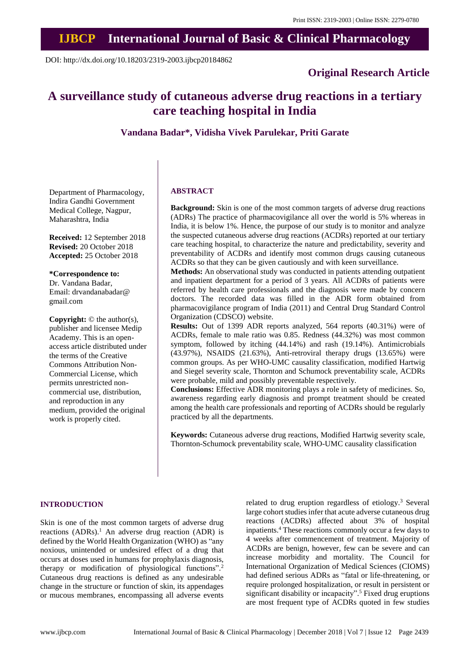# **IJBCP International Journal of Basic & Clinical Pharmacology**

DOI: http://dx.doi.org/10.18203/2319-2003.ijbcp20184862

### **Original Research Article**

## **A surveillance study of cutaneous adverse drug reactions in a tertiary care teaching hospital in India**

**Vandana Badar\*, Vidisha Vivek Parulekar, Priti Garate**

Department of Pharmacology, Indira Gandhi Government Medical College, Nagpur, Maharashtra, India

**Received:** 12 September 2018 **Revised:** 20 October 2018 **Accepted:** 25 October 2018

**\*Correspondence to:** Dr. Vandana Badar, Email: drvandanabadar@ gmail.com

**Copyright:** © the author(s), publisher and licensee Medip Academy. This is an openaccess article distributed under the terms of the Creative Commons Attribution Non-Commercial License, which permits unrestricted noncommercial use, distribution, and reproduction in any medium, provided the original work is properly cited.

#### **ABSTRACT**

**Background:** Skin is one of the most common targets of adverse drug reactions (ADRs) The practice of pharmacovigilance all over the world is 5% whereas in India, it is below 1%. Hence, the purpose of our study is to monitor and analyze the suspected cutaneous adverse drug reactions (ACDRs) reported at our tertiary care teaching hospital, to characterize the nature and predictability, severity and preventability of ACDRs and identify most common drugs causing cutaneous ACDRs so that they can be given cautiously and with keen surveillance.

**Methods:** An observational study was conducted in patients attending outpatient and inpatient department for a period of 3 years. All ACDRs of patients were referred by health care professionals and the diagnosis were made by concern doctors. The recorded data was filled in the ADR form obtained from pharmacovigilance program of India (2011) and Central Drug Standard Control Organization (CDSCO) website.

**Results:** Out of 1399 ADR reports analyzed, 564 reports (40.31%) were of ACDRs, female to male ratio was 0.85. Redness (44.32%) was most common symptom, followed by itching (44.14%) and rash (19.14%). Antimicrobials (43.97%), NSAIDS (21.63%), Anti-retroviral therapy drugs (13.65%) were common groups. As per WHO-UMC causality classification, modified Hartwig and Siegel severity scale, Thornton and Schumock preventability scale, ACDRs were probable, mild and possibly preventable respectively.

**Conclusions:** Effective ADR monitoring plays a role in safety of medicines. So, awareness regarding early diagnosis and prompt treatment should be created among the health care professionals and reporting of ACDRs should be regularly practiced by all the departments.

**Keywords:** Cutaneous adverse drug reactions, Modified Hartwig severity scale, Thornton-Schumock preventability scale, WHO-UMC causality classification

#### **INTRODUCTION**

Skin is one of the most common targets of adverse drug reactions (ADRs).<sup>1</sup> An adverse drug reaction (ADR) is defined by the World Health Organization (WHO) as "any noxious, unintended or undesired effect of a drug that occurs at doses used in humans for prophylaxis diagnosis, therapy or modification of physiological functions". 2 Cutaneous drug reactions is defined as any undesirable change in the structure or function of skin, its appendages or mucous membranes, encompassing all adverse events

related to drug eruption regardless of etiology. <sup>3</sup> Several large cohort studies infer that acute adverse cutaneous drug reactions (ACDRs) affected about 3% of hospital inpatients. <sup>4</sup> These reactions commonly occur a few days to 4 weeks after commencement of treatment. Majority of ACDRs are benign, however, few can be severe and can increase morbidity and mortality. The Council for International Organization of Medical Sciences (CIOMS) had defined serious ADRs as "fatal or life-threatening, or require prolonged hospitalization, or result in persistent or significant disability or incapacity". <sup>5</sup> Fixed drug eruptions are most frequent type of ACDRs quoted in few studies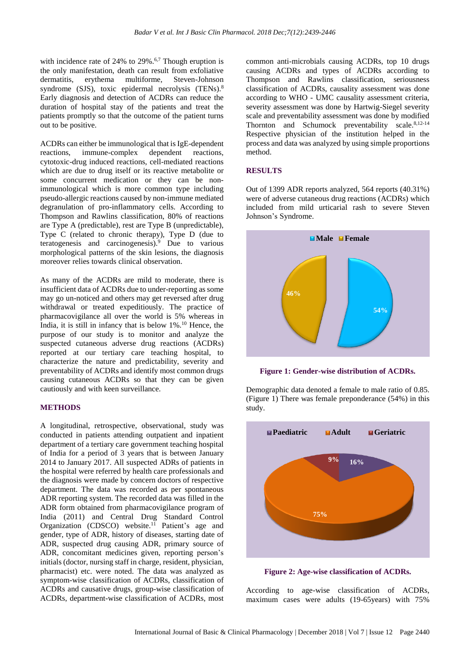with incidence rate of 24% to 29%.<sup>6,7</sup> Though eruption is the only manifestation, death can result from exfoliative dermatitis, erythema multiforme, Steven-Johnson syndrome (SJS), toxic epidermal necrolysis (TENs). 8 Early diagnosis and detection of ACDRs can reduce the duration of hospital stay of the patients and treat the patients promptly so that the outcome of the patient turns out to be positive.

ACDRs can either be immunological that is IgE-dependent reactions, immune-complex dependent reactions, cytotoxic-drug induced reactions, cell-mediated reactions which are due to drug itself or its reactive metabolite or some concurrent medication or they can be nonimmunological which is more common type including pseudo-allergic reactions caused by non-immune mediated degranulation of pro-inflammatory cells. According to Thompson and Rawlins classification, 80% of reactions are Type A (predictable), rest are Type B (unpredictable), Type C (related to chronic therapy), Type D (due to teratogenesis and carcinogenesis).<sup>9</sup> Due to various morphological patterns of the skin lesions, the diagnosis moreover relies towards clinical observation.

As many of the ACDRs are mild to moderate, there is insufficient data of ACDRs due to under-reporting as some may go un-noticed and others may get reversed after drug withdrawal or treated expeditiously. The practice of pharmacovigilance all over the world is 5% whereas in India, it is still in infancy that is below 1%. <sup>10</sup> Hence, the purpose of our study is to monitor and analyze the suspected cutaneous adverse drug reactions (ACDRs) reported at our tertiary care teaching hospital, to characterize the nature and predictability, severity and preventability of ACDRs and identify most common drugs causing cutaneous ACDRs so that they can be given cautiously and with keen surveillance.

#### **METHODS**

A longitudinal, retrospective, observational, study was conducted in patients attending outpatient and inpatient department of a tertiary care government teaching hospital of India for a period of 3 years that is between January 2014 to January 2017. All suspected ADRs of patients in the hospital were referred by health care professionals and the diagnosis were made by concern doctors of respective department. The data was recorded as per spontaneous ADR reporting system. The recorded data was filled in the ADR form obtained from pharmacovigilance program of India (2011) and Central Drug Standard Control Organization (CDSCO) website.<sup>11</sup> Patient's age and gender, type of ADR, history of diseases, starting date of ADR, suspected drug causing ADR, primary source of ADR, concomitant medicines given, reporting person's initials (doctor, nursing staff in charge, resident, physician, pharmacist) etc. were noted. The data was analyzed as symptom-wise classification of ACDRs, classification of ACDRs and causative drugs, group-wise classification of ACDRs, department-wise classification of ACDRs, most common anti-microbials causing ACDRs, top 10 drugs causing ACDRs and types of ACDRs according to Thompson and Rawlins classification, seriousness classification of ACDRs, causality assessment was done according to WHO - UMC causality assessment criteria, severity assessment was done by Hartwig-Siegel severity scale and preventability assessment was done by modified Thornton and Schumock preventability scale.<sup>8,12-14</sup> Respective physician of the institution helped in the process and data was analyzed by using simple proportions method.

#### **RESULTS**

Out of 1399 ADR reports analyzed, 564 reports (40.31%) were of adverse cutaneous drug reactions (ACDRs) which included from mild urticarial rash to severe Steven Johnson's Syndrome.



**Figure 1: Gender-wise distribution of ACDRs.**

Demographic data denoted a female to male ratio of 0.85. (Figure 1) There was female preponderance (54%) in this study.



**Figure 2: Age-wise classification of ACDRs.**

According to age-wise classification of ACDRs, maximum cases were adults (19-65years) with 75%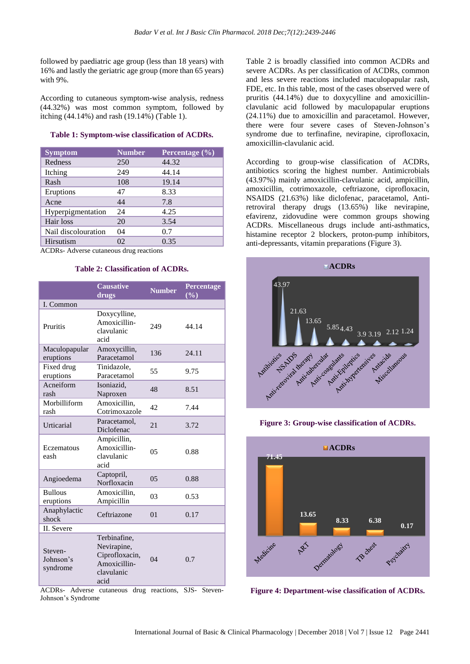followed by paediatric age group (less than 18 years) with 16% and lastly the geriatric age group (more than 65 years) with 9%.

According to cutaneous symptom-wise analysis, redness (44.32%) was most common symptom, followed by itching (44.14%) and rash (19.14%) (Table 1).

#### **Table 1: Symptom-wise classification of ACDRs.**

| <b>Symptom</b>      | <b>Number</b> | Percentage $\overline{(\%)}$ |  |
|---------------------|---------------|------------------------------|--|
| Redness             | 250           | 44.32                        |  |
| Itching             | 249           | 44.14                        |  |
| Rash                | 108           | 19.14                        |  |
| Eruptions           | 47            | 8.33                         |  |
| Acne                | 44            | 7.8                          |  |
| Hyperpigmentation   | 24            | 4.25                         |  |
| Hair loss           | 20            | 3.54                         |  |
| Nail discolouration | 04            | 0.7                          |  |
| Hirsutism           | 02            | 0.35                         |  |

ACDRs- Adverse cutaneous drug reactions

#### **Table 2: Classification of ACDRs.**

|                                  | <b>Causative</b><br>drugs                                                           | <b>Number</b>  | Percentage<br>$(\%)$ |
|----------------------------------|-------------------------------------------------------------------------------------|----------------|----------------------|
| I. Common                        |                                                                                     |                |                      |
| Pruritis                         | Doxycylline,<br>Amoxicillin-<br>clavulanic<br>acid                                  | 249            | 44.14                |
| Maculopapular<br>eruptions       | Amoxycillin,<br>Paracetamol                                                         | 136            | 24.11                |
| Fixed drug<br>eruptions          | Tinidazole.<br>Paracetamol                                                          | 55             | 9.75                 |
| Acneiform<br>rash                | Isoniazid,<br>Naproxen                                                              | 48             | 8.51                 |
| Morbilliform<br>rash             | Amoxicillin,<br>Cotrimoxazole                                                       | 42             | 7.44                 |
| Urticarial                       | Paracetamol,<br>Diclofenac                                                          | 21             | 3.72                 |
| Eczematous<br>eash               | Ampicillin,<br>Amoxicillin-<br>clavulanic<br>acid                                   | 0 <sub>5</sub> | 0.88                 |
| Angioedema                       | Captopril,<br>Norfloxacin                                                           | 0.5            | 0.88                 |
| <b>Bullous</b><br>eruptions      | Amoxicillin,<br>Ampicillin                                                          | 03             | 0.53                 |
| Anaphylactic<br>shock            | Ceftriazone                                                                         | 0 <sub>1</sub> | 0.17                 |
| II. Severe                       |                                                                                     |                |                      |
| Steven-<br>Johnson's<br>syndrome | Terbinafine,<br>Nevirapine,<br>Ciprofloxacin,<br>Amoxicillin-<br>clavulanic<br>acid | 04             | 0.7                  |

ACDRs- Adverse cutaneous drug reactions, SJS- Steven-Johnson's Syndrome

Table 2 is broadly classified into common ACDRs and severe ACDRs. As per classification of ACDRs, common and less severe reactions included maculopapular rash, FDE, etc. In this table, most of the cases observed were of pruritis (44.14%) due to doxycylline and amoxicillinclavulanic acid followed by maculopapular eruptions (24.11%) due to amoxicillin and paracetamol. However, there were four severe cases of Steven-Johnson's syndrome due to terfinafine, nevirapine, ciprofloxacin, amoxicillin-clavulanic acid.

According to group-wise classification of ACDRs, antibiotics scoring the highest number. Antimicrobials (43.97%) mainly amoxicillin-clavulanic acid, ampicillin, amoxicillin, cotrimoxazole, ceftriazone, ciprofloxacin, NSAIDS (21.63%) like diclofenac, paracetamol, Antiretroviral therapy drugs (13.65%) like nevirapine, efavirenz, zidovudine were common groups showing ACDRs. Miscellaneous drugs include anti-asthmatics, histamine receptor 2 blockers, proton-pump inhibitors, anti-depressants, vitamin preparations (Figure 3).



**Figure 3: Group-wise classification of ACDRs.**



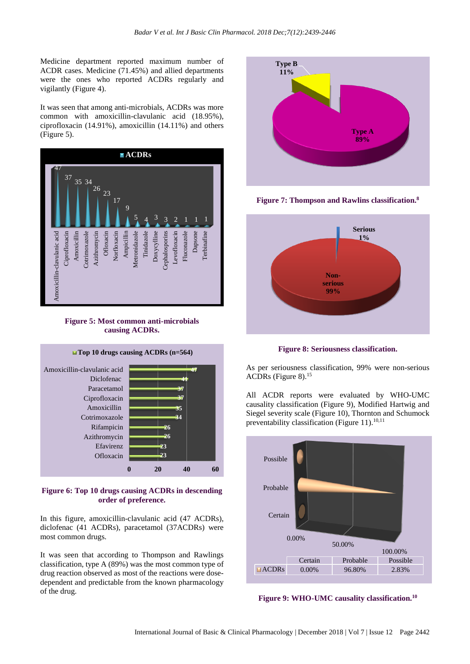Medicine department reported maximum number of ACDR cases. Medicine (71.45%) and allied departments were the ones who reported ACDRs regularly and vigilantly (Figure 4).

It was seen that among anti-microbials, ACDRs was more common with amoxicillin-clavulanic acid (18.95%), ciprofloxacin (14.91%), amoxicillin (14.11%) and others (Figure 5).







#### **Figure 6: Top 10 drugs causing ACDRs in descending order of preference.**

In this figure, amoxicillin-clavulanic acid (47 ACDRs), diclofenac (41 ACDRs), paracetamol (37ACDRs) were most common drugs.

It was seen that according to Thompson and Rawlings classification, type A (89%) was the most common type of drug reaction observed as most of the reactions were dosedependent and predictable from the known pharmacology of the drug.



**Figure 7: Thompson and Rawlins classification. 8**



**Figure 8: Seriousness classification.**

As per seriousness classification, 99% were non-serious ACDRs (Figure 8). 15

All ACDR reports were evaluated by WHO-UMC causality classification (Figure 9), Modified Hartwig and Siegel severity scale (Figure 10), Thornton and Schumock preventability classification (Figure 11).<sup>10,11</sup>



**Figure 9: WHO-UMC causality classification.<sup>10</sup>**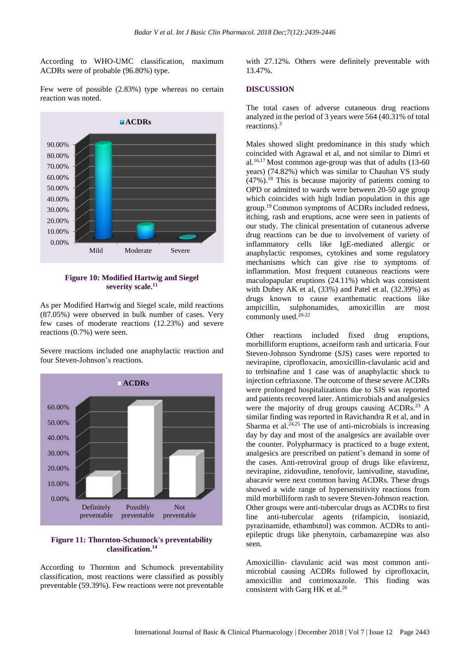According to WHO-UMC classification, maximum ACDRs were of probable (96.80%) type.

Few were of possible (2.83%) type whereas no certain reaction was noted.



**Figure 10: Modified Hartwig and Siegel severity scale.<sup>11</sup>**

As per Modified Hartwig and Siegel scale, mild reactions (87.05%) were observed in bulk number of cases. Very few cases of moderate reactions (12.23%) and severe reactions (0.7%) were seen.

Severe reactions included one anaphylactic reaction and four Steven-Johnson's reactions.



#### **Figure 11: Thornton-Schumock's preventability classification. 14**

According to Thornton and Schumock preventability classification, most reactions were classified as possibly preventable (59.39%). Few reactions were not preventable with 27.12%. Others were definitely preventable with 13.47%.

#### **DISCUSSION**

The total cases of adverse cutaneous drug reactions analyzed in the period of 3 years were 564 (40.31% of total reactions). 3

Males showed slight predominance in this study which coincided with Agrawal et al, and not similar to Dimri et al. 16,17 Most common age-group was that of adults (13-60 years) (74.82%) which was similar to Chauhan VS study (47%). <sup>18</sup> This is because majority of patients coming to OPD or admitted to wards were between 20-50 age group which coincides with high Indian population in this age group. <sup>19</sup>Common symptoms of ACDRs included redness, itching, rash and eruptions, acne were seen in patients of our study. The clinical presentation of cutaneous adverse drug reactions can be due to involvement of variety of inflammatory cells like IgE-mediated allergic or anaphylactic responses, cytokines and some regulatory mechanisms which can give rise to symptoms of inflammation. Most frequent cutaneous reactions were maculopapular eruptions (24.11%) which was consistent with Dubey AK et al, (33%) and Patel et al, (32.39%) as drugs known to cause exanthematic reactions like ampicillin, sulphonamides, amoxicillin are most commonly used.<sup>20-22</sup>

Other reactions included fixed drug eruptions, morbilliform eruptions, acneiform rash and urticaria. Four Steven-Johnson Syndrome (SJS) cases were reported to nevirapine, ciprofloxacin, amoxicillin-clavulanic acid and to terbinafine and 1 case was of anaphylactic shock to injection ceftriaxone. The outcome of these severe ACDRs were prolonged hospitalizations due to SJS was reported and patients recovered later. Antimicrobials and analgesics were the majority of drug groups causing ACDRs.<sup>23</sup> A similar finding was reported in Ravichandra R et al, and in Sharma et al. $24,25$  The use of anti-microbials is increasing day by day and most of the analgesics are available over the counter. Polypharmacy is practiced to a huge extent, analgesics are prescribed on patient's demand in some of the cases. Anti-retroviral group of drugs like efavirenz, nevirapine, zidovudine, tenofovir, lamivudine, stavudine, abacavir were next common having ACDRs. These drugs showed a wide range of hypersensitivity reactions from mild morbilliform rash to severe Steven-Johnson reaction. Other groups were anti-tubercular drugs as ACDRs to first line anti-tubercular agents (rifampicin, isoniazid, pyrazinamide, ethambutol) was common. ACDRs to antiepileptic drugs like phenytoin, carbamazepine was also seen.

Amoxicillin- clavulanic acid was most common antimicrobial causing ACDRs followed by ciprofloxacin, amoxicillin and cotrimoxazole. This finding was consistent with Garg HK et al. 26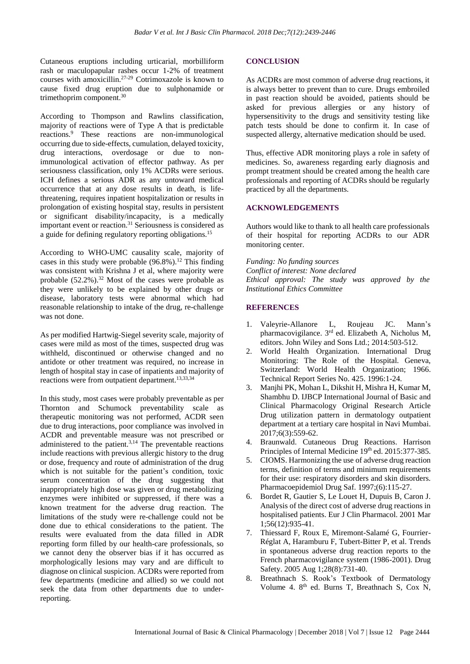Cutaneous eruptions including urticarial, morbilliform rash or maculopapular rashes occur 1-2% of treatment courses with amoxicillin. 27-29 Cotrimoxazole is known to cause fixed drug eruption due to sulphonamide or trimethoprim component. 30

According to Thompson and Rawlins classification, majority of reactions were of Type A that is predictable reactions.<sup>9</sup> These reactions are non-immunological occurring due to side-effects, cumulation, delayed toxicity, drug interactions, overdosage or due to nonimmunological activation of effector pathway. As per seriousness classification, only 1% ACDRs were serious. ICH defines a serious ADR as any untoward medical occurrence that at any dose results in death, is lifethreatening, requires inpatient hospitalization or results in prolongation of existing hospital stay, results in persistent or significant disability/incapacity, is a medically important event or reaction. <sup>31</sup> Seriousness is considered as a guide for defining regulatory reporting obligations. 15

According to WHO-UMC causality scale, majority of cases in this study were probable  $(96.8\%)$ .<sup>12</sup> This finding was consistent with Krishna J et al, where majority were probable (52.2%). <sup>32</sup> Most of the cases were probable as they were unlikely to be explained by other drugs or disease, laboratory tests were abnormal which had reasonable relationship to intake of the drug, re-challenge was not done.

As per modified Hartwig-Siegel severity scale, majority of cases were mild as most of the times, suspected drug was withheld, discontinued or otherwise changed and no antidote or other treatment was required, no increase in length of hospital stay in case of inpatients and majority of reactions were from outpatient department.<sup>13,33,34</sup>

In this study, most cases were probably preventable as per Thornton and Schumock preventability scale as therapeutic monitoring was not performed, ACDR seen due to drug interactions, poor compliance was involved in ACDR and preventable measure was not prescribed or administered to the patient. $3,14$  The preventable reactions include reactions with previous allergic history to the drug or dose, frequency and route of administration of the drug which is not suitable for the patient's condition, toxic serum concentration of the drug suggesting that inappropriately high dose was given or drug metabolizing enzymes were inhibited or suppressed, if there was a known treatment for the adverse drug reaction. The limitations of the study were re-challenge could not be done due to ethical considerations to the patient. The results were evaluated from the data filled in ADR reporting form filled by our health-care professionals, so we cannot deny the observer bias if it has occurred as morphologically lesions may vary and are difficult to diagnose on clinical suspicion. ACDRs were reported from few departments (medicine and allied) so we could not seek the data from other departments due to underreporting.

#### **CONCLUSION**

As ACDRs are most common of adverse drug reactions, it is always better to prevent than to cure. Drugs embroiled in past reaction should be avoided, patients should be asked for previous allergies or any history of hypersensitivity to the drugs and sensitivity testing like patch tests should be done to confirm it. In case of suspected allergy, alternative medication should be used.

Thus, effective ADR monitoring plays a role in safety of medicines. So, awareness regarding early diagnosis and prompt treatment should be created among the health care professionals and reporting of ACDRs should be regularly practiced by all the departments.

#### **ACKNOWLEDGEMENTS**

Authors would like to thank to all health care professionals of their hospital for reporting ACDRs to our ADR monitoring center.

*Funding: No funding sources Conflict of interest: None declared Ethical approval: The study was approved by the Institutional Ethics Committee*

#### **REFERENCES**

- 1. Valeyrie-Allanore L, Roujeau JC. Mann's pharmacovigilance. 3<sup>rd</sup> ed. Elizabeth A, Nicholus M, editors. John Wiley and Sons Ltd.; 2014:503-512.
- 2. World Health Organization. International Drug Monitoring: The Role of the Hospital. Geneva, Switzerland: World Health Organization; 1966. Technical Report Series No. 425. 1996:1-24.
- 3. Manjhi PK, Mohan L, Dikshit H, Mishra H, Kumar M, Shambhu D. IJBCP International Journal of Basic and Clinical Pharmacology Original Research Article Drug utilization pattern in dermatology outpatient department at a tertiary care hospital in Navi Mumbai. 2017;6(3):559-62.
- 4. Braunwald. Cutaneous Drug Reactions. Harrison Principles of Internal Medicine 19th ed. 2015:377-385.
- 5. CIOMS. Harmonizing the use of adverse drug reaction terms, definition of terms and minimum requirements for their use: respiratory disorders and skin disorders. Pharmacoepidemiol Drug Saf. 1997;(6):115-27.
- 6. Bordet R, Gautier S, Le Louet H, Dupuis B, Caron J. Analysis of the direct cost of adverse drug reactions in hospitalised patients. Eur J Clin Pharmacol. 2001 Mar 1;56(12):935-41.
- 7. Thiessard F, Roux E, Miremont-Salamé G, Fourrier-Réglat A, Haramburu F, Tubert-Bitter P, et al. Trends in spontaneous adverse drug reaction reports to the French pharmacovigilance system (1986-2001). Drug Safety. 2005 Aug 1;28(8):731-40.
- 8. Breathnach S. Rook's Textbook of Dermatology Volume 4. 8<sup>th</sup> ed. Burns T, Breathnach S, Cox N,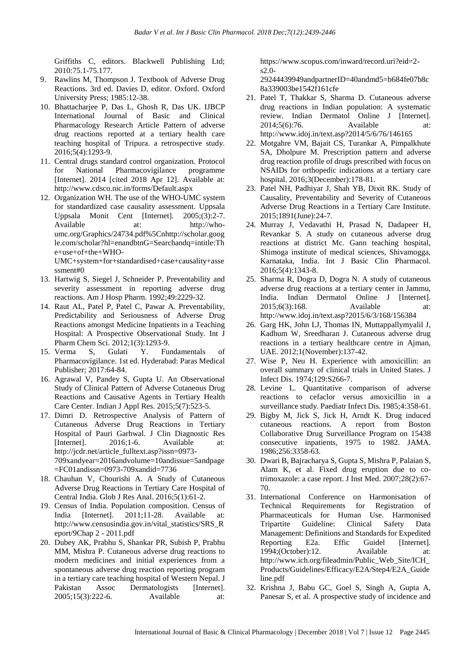Griffiths C, editors. Blackwell Publishing Ltd; 2010:75.1-75.177.

- 9. Rawlins M, Thompson J. Textbook of Adverse Drug Reactions. 3rd ed. Davies D, editor. Oxford. Oxford University Press; 1985:12-38.
- 10. Bhattacharjee P, Das L, Ghosh R, Das UK. IJBCP International Journal of Basic and Clinical Pharmacology Research Article Pattern of adverse drug reactions reported at a tertiary health care teaching hospital of Tripura. a retrospective study. 2016;5(4):1293-9.
- 11. Central drugs standard control organization. Protocol for National Pharmacovigilance programme [Internet]. 2014 [cited 2018 Apr 12]. Available at: http://www.cdsco.nic.in/forms/Default.aspx
- 12. Organization WH. The use of the WHO-UMC system for standardized case causality assessment. Uppsala Uppsala Monit Cent [Internet]. 2005;(3):2-7. Available at: http://whoumc.org/Graphics/24734.pdf%5Cnhttp://scholar.goog le.com/scholar?hl=enandbtnG=Searchandq=intitle:Th e+use+of+the+WHO-

UMC+system+for+standardised+case+causality+asse ssment#0

- 13. Hartwig S, Siegel J, Schneider P. Preventability and severity assessment in reporting adverse drug reactions. Am J Hosp Pharm. 1992;49:2229-32.
- 14. Raut AL, Patel P, Patel C, Pawar A. Preventability, Predictability and Seriousness of Adverse Drug Reactions amongst Medicine Inpatients in a Teaching Hospital: A Prospective Observational Study. Int J Pharm Chem Sci. 2012;1(3):1293-9.
- 15. Verma S, Gulati Y. Fundamentals of Pharmacovigilance. 1st ed. Hyderabad: Paras Medical Publisher; 2017:64-84.
- 16. Agrawal V, Pandey S, Gupta U. An Observational Study of Clinical Pattern of Adverse Cutaneous Drug Reactions and Causative Agents in Tertiary Health Care Center. Indian J Appl Res. 2015;5(7):523-5.
- 17. Dimri D. Retrospective Analysis of Pattern of Cutaneous Adverse Drug Reactions in Tertiary Hospital of Pauri Garhwal. J Clin Diagnostic Res [Internet]. 2016;1-6. Available at: http://jcdr.net/article\_fulltext.asp?issn=0973- 709xandyear=2016andvolume=10andissue=5andpage =FC01andissn=0973-709xandid=7736
- 18. Chauhan V, Chourishi A. A Study of Cutaneous Adverse Drug Reactions in Tertiary Care Hospital of Central India. Glob J Res Anal. 2016;5(1):61-2.
- 19. Census of India. Population composition. Census of India [Internet]. 2011;11-28. Available at: http://www.censusindia.gov.in/vital\_statistics/SRS\_R eport/9Chap 2 - 2011.pdf
- 20. Dubey AK, Prabhu S, Shankar PR, Subish P, Prabhu MM, Mishra P. Cutaneous adverse drug reactions to modern medicines and initial experiences from a spontaneous adverse drug reaction reporting program in a tertiary care teaching hospital of Western Nepal. J Pakistan Assoc Dermatologists [Internet]. 2005;15(3):222-6. Available at:

https://www.scopus.com/inward/record.uri?eid=2 s2.0-

29244439949andpartnerID=40andmd5=b684fe07b8c 8a339003be1542f161cfe

- 21. Patel T, Thakkar S, Sharma D. Cutaneous adverse drug reactions in Indian population: A systematic review. Indian Dermatol Online J [Internet]. 2014;5(6):76. Available at: http://www.idoj.in/text.asp?2014/5/6/76/146165
- 22. Motgahre VM, Bajait CS, Turankar A, Pimpalkhute SA, Dholpure M. Prescription pattern and adverse drug reaction profile of drugs prescribed with focus on NSAIDs for orthopedic indications at a tertiary care hospital. 2016;3(December):178-81.
- 23. Patel NH, Padhiyar J, Shah YB, Dixit RK. Study of Causality, Preventability and Severity of Cutaneous Adverse Drug Reactions in a Tertiary Care Institute. 2015;1891(June):24-7.
- 24. Murray J, Vedavathi H, Prasad N, Dadapeer H, Revankar S. A study on cutaneous adverse drug reactions at district Mc. Gann teaching hospital, Shimoga institute of medical sciences, Shivamogga, Karnataka, India. Int J Basic Clin Pharmacol. 2016;5(4):1343-8.
- 25. Sharma R, Dogra D, Dogra N. A study of cutaneous adverse drug reactions at a tertiary center in Jammu, India. Indian Dermatol Online J [Internet]. 2015;6(3):168. Available at: http://www.idoj.in/text.asp?2015/6/3/168/156384
- 26. Garg HK, John LJ, Thomas IN, Muttappallymyalil J, Kadhum W, Sreedharan J. Cutaneous adverse drug reactions in a tertiary healthcare centre in Ajman, UAE. 2012;1(November):137-42.
- 27. Wise P, Neu H. Experience with amoxicillin: an overall summary of clinical trials in United States. J Infect Dis. 1974;129:S266-7.
- 28. Levine L. Quantitative comparison of adverse reactions to cefaclor versus amoxicillin in a surveillance study. Paediatr Infect Dis. 1985;4:358-61.
- 29. Bigby M, Jick S, Jick H, Arndt K. Drug induced cutaneous reactions. A report from Boston Collaborative Drug Surveillance Program on 15438 consecutive inpatients, 1975 to 1982. JAMA. 1986;256:3358-63.
- 30. Dwari B, Bajracharya S, Gupta S, Mishra P, Palaian S, Alam K, et al. Fixed drug eruption due to cotrimoxazole: a case report. J Inst Med. 2007;28(2):67- 70.
- 31. International Conference on Harmonisation of Technical Requirements for Registration of Pharmaceuticals for Human Use. Harmonised Tripartite Guideline: Clinical Safety Data Management: Definitions and Standards for Expedited Reporting E2a. Effic Guidel [Internet]. 1994;(October):12. Available at: http://www.ich.org/fileadmin/Public\_Web\_Site/ICH\_ Products/Guidelines/Efficacy/E2A/Step4/E2A\_Guide line.pdf
- 32. Krishna J, Babu GC, Goel S, Singh A, Gupta A, Panesar S, et al. A prospective study of incidence and